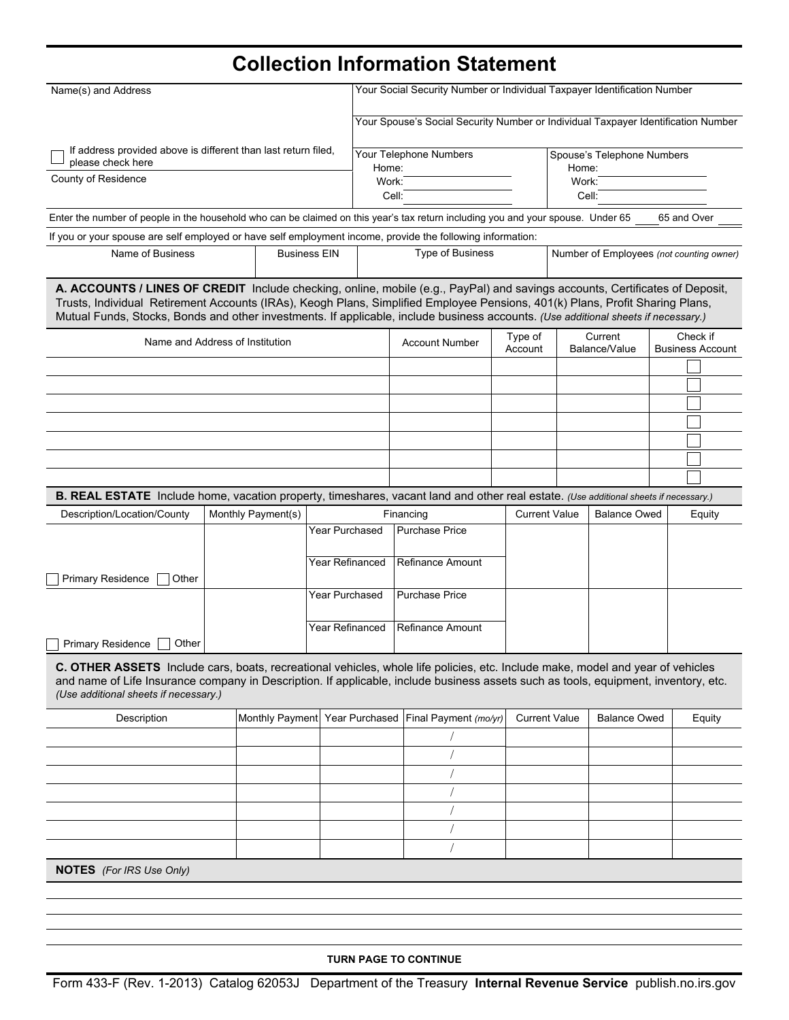# **Collection Information Statement**

| Name(s) and Address                                                                                                                                                                                                                                                                                                                                                                                 |                    | Your Social Security Number or Individual Taxpayer Identification Number |                |                        |                                                                                   |                                          |  |                                     |  |             |  |  |  |
|-----------------------------------------------------------------------------------------------------------------------------------------------------------------------------------------------------------------------------------------------------------------------------------------------------------------------------------------------------------------------------------------------------|--------------------|--------------------------------------------------------------------------|----------------|------------------------|-----------------------------------------------------------------------------------|------------------------------------------|--|-------------------------------------|--|-------------|--|--|--|
|                                                                                                                                                                                                                                                                                                                                                                                                     |                    |                                                                          |                |                        | Your Spouse's Social Security Number or Individual Taxpayer Identification Number |                                          |  |                                     |  |             |  |  |  |
| If address provided above is different than last return filed,<br>please check here                                                                                                                                                                                                                                                                                                                 |                    |                                                                          | Home:          | Your Telephone Numbers |                                                                                   | Spouse's Telephone Numbers<br>Home:      |  |                                     |  |             |  |  |  |
| County of Residence                                                                                                                                                                                                                                                                                                                                                                                 |                    |                                                                          | Work:          |                        |                                                                                   | Work:                                    |  |                                     |  |             |  |  |  |
|                                                                                                                                                                                                                                                                                                                                                                                                     |                    |                                                                          | Cell:          |                        |                                                                                   | Cell:                                    |  |                                     |  |             |  |  |  |
| Enter the number of people in the household who can be claimed on this year's tax return including you and your spouse. Under 65                                                                                                                                                                                                                                                                    |                    |                                                                          |                |                        |                                                                                   |                                          |  |                                     |  | 65 and Over |  |  |  |
| If you or your spouse are self employed or have self employment income, provide the following information:                                                                                                                                                                                                                                                                                          |                    |                                                                          |                |                        |                                                                                   |                                          |  |                                     |  |             |  |  |  |
| Name of Business<br><b>Business EIN</b>                                                                                                                                                                                                                                                                                                                                                             |                    |                                                                          |                | Type of Business       |                                                                                   | Number of Employees (not counting owner) |  |                                     |  |             |  |  |  |
| A. ACCOUNTS / LINES OF CREDIT Include checking, online, mobile (e.g., PayPal) and savings accounts, Certificates of Deposit,<br>Trusts, Individual Retirement Accounts (IRAs), Keogh Plans, Simplified Employee Pensions, 401(k) Plans, Profit Sharing Plans,<br>Mutual Funds, Stocks, Bonds and other investments. If applicable, include business accounts. (Use additional sheets if necessary.) |                    |                                                                          |                |                        |                                                                                   |                                          |  |                                     |  |             |  |  |  |
| Name and Address of Institution                                                                                                                                                                                                                                                                                                                                                                     |                    |                                                                          |                | <b>Account Number</b>  | Type of<br>Account                                                                | Current<br>Balance/Value                 |  | Check if<br><b>Business Account</b> |  |             |  |  |  |
|                                                                                                                                                                                                                                                                                                                                                                                                     |                    |                                                                          |                |                        |                                                                                   |                                          |  |                                     |  |             |  |  |  |
|                                                                                                                                                                                                                                                                                                                                                                                                     |                    |                                                                          |                |                        |                                                                                   |                                          |  |                                     |  |             |  |  |  |
|                                                                                                                                                                                                                                                                                                                                                                                                     |                    |                                                                          |                |                        |                                                                                   |                                          |  |                                     |  |             |  |  |  |
|                                                                                                                                                                                                                                                                                                                                                                                                     |                    |                                                                          |                |                        |                                                                                   |                                          |  |                                     |  |             |  |  |  |
|                                                                                                                                                                                                                                                                                                                                                                                                     |                    |                                                                          |                |                        |                                                                                   |                                          |  |                                     |  |             |  |  |  |
|                                                                                                                                                                                                                                                                                                                                                                                                     |                    |                                                                          |                |                        |                                                                                   |                                          |  |                                     |  |             |  |  |  |
|                                                                                                                                                                                                                                                                                                                                                                                                     |                    |                                                                          |                |                        |                                                                                   |                                          |  |                                     |  |             |  |  |  |
| B. REAL ESTATE Include home, vacation property, timeshares, vacant land and other real estate. (Use additional sheets if necessary.)<br>Description/Location/County                                                                                                                                                                                                                                 | Monthly Payment(s) |                                                                          |                |                        | Financing                                                                         | <b>Current Value</b>                     |  | <b>Balance Owed</b>                 |  | Equity      |  |  |  |
|                                                                                                                                                                                                                                                                                                                                                                                                     |                    |                                                                          | Year Purchased |                        | <b>Purchase Price</b>                                                             |                                          |  |                                     |  |             |  |  |  |
|                                                                                                                                                                                                                                                                                                                                                                                                     |                    |                                                                          |                |                        |                                                                                   |                                          |  |                                     |  |             |  |  |  |
| Primary Residence<br>Other                                                                                                                                                                                                                                                                                                                                                                          |                    |                                                                          |                | Year Refinanced        | <b>Refinance Amount</b>                                                           |                                          |  |                                     |  |             |  |  |  |
|                                                                                                                                                                                                                                                                                                                                                                                                     |                    |                                                                          | Year Purchased |                        | <b>Purchase Price</b>                                                             |                                          |  |                                     |  |             |  |  |  |
|                                                                                                                                                                                                                                                                                                                                                                                                     |                    |                                                                          |                |                        |                                                                                   |                                          |  |                                     |  |             |  |  |  |
| Other<br>Primary Residence                                                                                                                                                                                                                                                                                                                                                                          |                    |                                                                          |                | Year Refinanced        | <b>Refinance Amount</b>                                                           |                                          |  |                                     |  |             |  |  |  |
| C. OTHER ASSETS Include cars, boats, recreational vehicles, whole life policies, etc. Include make, model and year of vehicles<br>and name of Life Insurance company in Description. If applicable, include business assets such as tools, equipment, inventory, etc.<br>(Use additional sheets if necessary.)                                                                                      |                    |                                                                          |                |                        |                                                                                   |                                          |  |                                     |  |             |  |  |  |
| Description                                                                                                                                                                                                                                                                                                                                                                                         |                    |                                                                          |                |                        | Monthly Payment Year Purchased Final Payment (mo/yr)                              | <b>Current Value</b>                     |  | <b>Balance Owed</b>                 |  | Equity      |  |  |  |
|                                                                                                                                                                                                                                                                                                                                                                                                     |                    |                                                                          |                |                        |                                                                                   |                                          |  |                                     |  |             |  |  |  |
|                                                                                                                                                                                                                                                                                                                                                                                                     |                    |                                                                          |                |                        |                                                                                   |                                          |  |                                     |  |             |  |  |  |
|                                                                                                                                                                                                                                                                                                                                                                                                     |                    |                                                                          |                |                        |                                                                                   |                                          |  |                                     |  |             |  |  |  |
|                                                                                                                                                                                                                                                                                                                                                                                                     |                    |                                                                          |                |                        |                                                                                   |                                          |  |                                     |  |             |  |  |  |
|                                                                                                                                                                                                                                                                                                                                                                                                     |                    |                                                                          |                |                        |                                                                                   |                                          |  |                                     |  |             |  |  |  |
|                                                                                                                                                                                                                                                                                                                                                                                                     |                    |                                                                          |                |                        |                                                                                   |                                          |  |                                     |  |             |  |  |  |
|                                                                                                                                                                                                                                                                                                                                                                                                     |                    |                                                                          |                |                        |                                                                                   |                                          |  |                                     |  |             |  |  |  |
| <b>NOTES</b> (For IRS Use Only)                                                                                                                                                                                                                                                                                                                                                                     |                    |                                                                          |                |                        |                                                                                   |                                          |  |                                     |  |             |  |  |  |
|                                                                                                                                                                                                                                                                                                                                                                                                     |                    |                                                                          |                |                        |                                                                                   |                                          |  |                                     |  |             |  |  |  |
|                                                                                                                                                                                                                                                                                                                                                                                                     |                    |                                                                          |                |                        |                                                                                   |                                          |  |                                     |  |             |  |  |  |

**TURN PAGE TO CONTINUE**

Form 433-F (Rev. 1-2013) Catalog 62053J Department of the Treasury **Internal Revenue Service** publish.no.irs.gov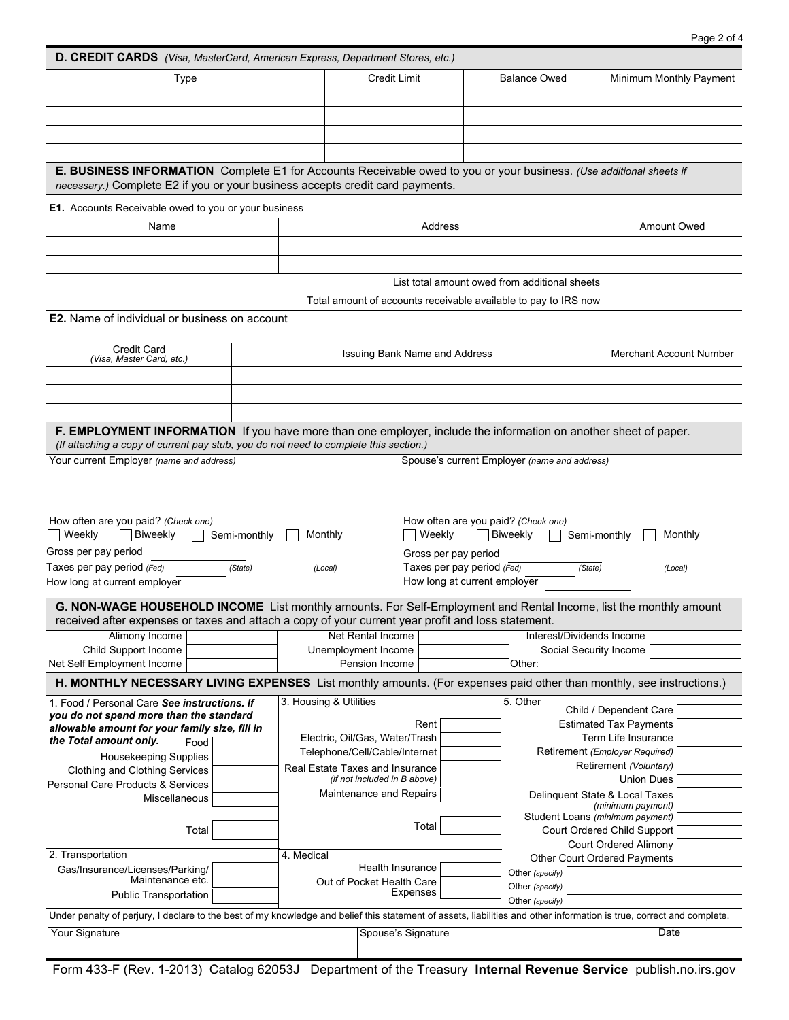| D. CREDIT CARDS (Visa, MasterCard, American Express, Department Stores, etc.)                                                                                                                                           |                                                                                       |                                                         |                                                                 |                                     |                                 |                                                      |                                |                                |      |  |
|-------------------------------------------------------------------------------------------------------------------------------------------------------------------------------------------------------------------------|---------------------------------------------------------------------------------------|---------------------------------------------------------|-----------------------------------------------------------------|-------------------------------------|---------------------------------|------------------------------------------------------|--------------------------------|--------------------------------|------|--|
| Type                                                                                                                                                                                                                    | <b>Credit Limit</b>                                                                   |                                                         |                                                                 |                                     | <b>Balance Owed</b>             |                                                      | Minimum Monthly Payment        |                                |      |  |
|                                                                                                                                                                                                                         |                                                                                       |                                                         |                                                                 |                                     |                                 |                                                      |                                |                                |      |  |
|                                                                                                                                                                                                                         |                                                                                       |                                                         |                                                                 |                                     |                                 |                                                      |                                |                                |      |  |
|                                                                                                                                                                                                                         |                                                                                       |                                                         |                                                                 |                                     |                                 |                                                      |                                |                                |      |  |
|                                                                                                                                                                                                                         |                                                                                       |                                                         |                                                                 |                                     |                                 |                                                      |                                |                                |      |  |
| E. BUSINESS INFORMATION Complete E1 for Accounts Receivable owed to you or your business. (Use additional sheets if<br>necessary.) Complete E2 if you or your business accepts credit card payments.                    |                                                                                       |                                                         |                                                                 |                                     |                                 |                                                      |                                |                                |      |  |
| E1. Accounts Receivable owed to you or your business                                                                                                                                                                    |                                                                                       |                                                         |                                                                 |                                     |                                 |                                                      |                                |                                |      |  |
| Name                                                                                                                                                                                                                    | Address                                                                               |                                                         |                                                                 |                                     |                                 | Amount Owed                                          |                                |                                |      |  |
|                                                                                                                                                                                                                         |                                                                                       |                                                         |                                                                 |                                     |                                 |                                                      |                                |                                |      |  |
|                                                                                                                                                                                                                         |                                                                                       |                                                         |                                                                 |                                     |                                 |                                                      |                                |                                |      |  |
|                                                                                                                                                                                                                         |                                                                                       |                                                         |                                                                 |                                     |                                 | List total amount owed from additional sheets        |                                |                                |      |  |
|                                                                                                                                                                                                                         |                                                                                       |                                                         | Total amount of accounts receivable available to pay to IRS now |                                     |                                 |                                                      |                                |                                |      |  |
| <b>E2.</b> Name of individual or business on account                                                                                                                                                                    |                                                                                       |                                                         |                                                                 |                                     |                                 |                                                      |                                |                                |      |  |
| <b>Credit Card</b>                                                                                                                                                                                                      |                                                                                       |                                                         |                                                                 |                                     |                                 |                                                      | <b>Merchant Account Number</b> |                                |      |  |
| (Visa, Master Card, etc.)                                                                                                                                                                                               |                                                                                       | Issuing Bank Name and Address                           |                                                                 |                                     |                                 |                                                      |                                |                                |      |  |
|                                                                                                                                                                                                                         |                                                                                       |                                                         |                                                                 |                                     |                                 |                                                      |                                |                                |      |  |
|                                                                                                                                                                                                                         |                                                                                       |                                                         |                                                                 |                                     |                                 |                                                      |                                |                                |      |  |
| F. EMPLOYMENT INFORMATION If you have more than one employer, include the information on another sheet of paper.                                                                                                        |                                                                                       |                                                         |                                                                 |                                     |                                 |                                                      |                                |                                |      |  |
| (If attaching a copy of current pay stub, you do not need to complete this section.)<br>Your current Employer (name and address)                                                                                        |                                                                                       |                                                         |                                                                 |                                     |                                 |                                                      |                                |                                |      |  |
|                                                                                                                                                                                                                         | Spouse's current Employer (name and address)                                          |                                                         |                                                                 |                                     |                                 |                                                      |                                |                                |      |  |
|                                                                                                                                                                                                                         |                                                                                       |                                                         |                                                                 |                                     |                                 |                                                      |                                |                                |      |  |
|                                                                                                                                                                                                                         |                                                                                       |                                                         |                                                                 |                                     |                                 |                                                      |                                |                                |      |  |
| How often are you paid? (Check one)                                                                                                                                                                                     | How often are you paid? (Check one)                                                   |                                                         |                                                                 |                                     |                                 |                                                      |                                |                                |      |  |
| Weekly<br>Biweekly<br>Semi-monthly                                                                                                                                                                                      | Weekly<br>Monthly                                                                     |                                                         |                                                                 | Biweekly<br>Semi-monthly<br>Monthly |                                 |                                                      |                                |                                |      |  |
| Gross per pay period                                                                                                                                                                                                    | Gross per pay period                                                                  |                                                         |                                                                 |                                     |                                 |                                                      |                                |                                |      |  |
| Taxes per pay period (Fed)<br>How long at current employer                                                                                                                                                              | Taxes per pay period $\sqrt{F_{\text{ed}}$<br>(Local)<br>How long at current employer |                                                         |                                                                 | (State)<br>(Local)                  |                                 |                                                      |                                |                                |      |  |
|                                                                                                                                                                                                                         |                                                                                       |                                                         |                                                                 |                                     |                                 |                                                      |                                |                                |      |  |
| G. NON-WAGE HOUSEHOLD INCOME List monthly amounts. For Self-Employment and Rental Income, list the monthly amount<br>received after expenses or taxes and attach a copy of your current year profit and loss statement. |                                                                                       |                                                         |                                                                 |                                     |                                 |                                                      |                                |                                |      |  |
| Alimony Income                                                                                                                                                                                                          |                                                                                       | Net Rental Income                                       |                                                                 |                                     |                                 | Interest/Dividends Income                            |                                |                                |      |  |
| Child Support Income                                                                                                                                                                                                    | Unemployment Income                                                                   |                                                         |                                                                 |                                     | Social Security Income          |                                                      |                                |                                |      |  |
| Net Self Employment Income                                                                                                                                                                                              |                                                                                       |                                                         | Pension Income                                                  |                                     |                                 | Other:                                               |                                |                                |      |  |
| H. MONTHLY NECESSARY LIVING EXPENSES List monthly amounts. (For expenses paid other than monthly, see instructions.)                                                                                                    |                                                                                       |                                                         |                                                                 |                                     |                                 |                                                      |                                |                                |      |  |
| 1. Food / Personal Care See instructions. If                                                                                                                                                                            |                                                                                       | 3. Housing & Utilities                                  |                                                                 |                                     |                                 | 5. Other<br>Child / Dependent Care                   |                                |                                |      |  |
| you do not spend more than the standard<br>allowable amount for your family size, fill in                                                                                                                               |                                                                                       |                                                         | Rent                                                            |                                     |                                 |                                                      | <b>Estimated Tax Payments</b>  |                                |      |  |
| the Total amount only.<br>Food                                                                                                                                                                                          |                                                                                       |                                                         | Electric, Oil/Gas, Water/Trash                                  |                                     |                                 |                                                      | Term Life Insurance            |                                |      |  |
| <b>Housekeeping Supplies</b>                                                                                                                                                                                            |                                                                                       | Telephone/Cell/Cable/Internet                           |                                                                 |                                     |                                 |                                                      |                                | Retirement (Employer Required) |      |  |
| Clothing and Clothing Services                                                                                                                                                                                          |                                                                                       | Real Estate Taxes and Insurance                         |                                                                 |                                     |                                 |                                                      | Retirement (Voluntary)         |                                |      |  |
| Personal Care Products & Services                                                                                                                                                                                       |                                                                                       | (if not included in B above)<br>Maintenance and Repairs |                                                                 |                                     |                                 | <b>Union Dues</b>                                    |                                |                                |      |  |
| Miscellaneous                                                                                                                                                                                                           |                                                                                       |                                                         |                                                                 |                                     |                                 | Delinquent State & Local Taxes<br>(minimum payment)  |                                |                                |      |  |
| Total                                                                                                                                                                                                                   |                                                                                       | Total                                                   |                                                                 |                                     | Student Loans (minimum payment) |                                                      |                                |                                |      |  |
|                                                                                                                                                                                                                         |                                                                                       |                                                         |                                                                 |                                     |                                 | Court Ordered Child Support<br>Court Ordered Alimony |                                |                                |      |  |
| 2. Transportation                                                                                                                                                                                                       |                                                                                       | 4. Medical                                              |                                                                 |                                     | Other Court Ordered Payments    |                                                      |                                |                                |      |  |
| Gas/Insurance/Licenses/Parking/                                                                                                                                                                                         |                                                                                       | Health Insurance                                        |                                                                 |                                     |                                 | Other (specify)                                      |                                |                                |      |  |
| Maintenance etc.                                                                                                                                                                                                        |                                                                                       | Out of Pocket Health Care                               |                                                                 |                                     |                                 | Other (specify)                                      |                                |                                |      |  |
| <b>Public Transportation</b>                                                                                                                                                                                            |                                                                                       | Expenses                                                |                                                                 |                                     | Other (specify)                 |                                                      |                                |                                |      |  |
| Under penalty of perjury, I declare to the best of my knowledge and belief this statement of assets, liabilities and other information is true, correct and complete.                                                   |                                                                                       |                                                         |                                                                 |                                     |                                 |                                                      |                                |                                |      |  |
| Your Signature                                                                                                                                                                                                          |                                                                                       |                                                         | Spouse's Signature                                              |                                     |                                 |                                                      |                                |                                | Date |  |
|                                                                                                                                                                                                                         |                                                                                       |                                                         |                                                                 |                                     |                                 |                                                      |                                |                                |      |  |

Form 433-F (Rev. 1-2013) Catalog 62053J Department of the Treasury **Internal Revenue Service** publish.no.irs.gov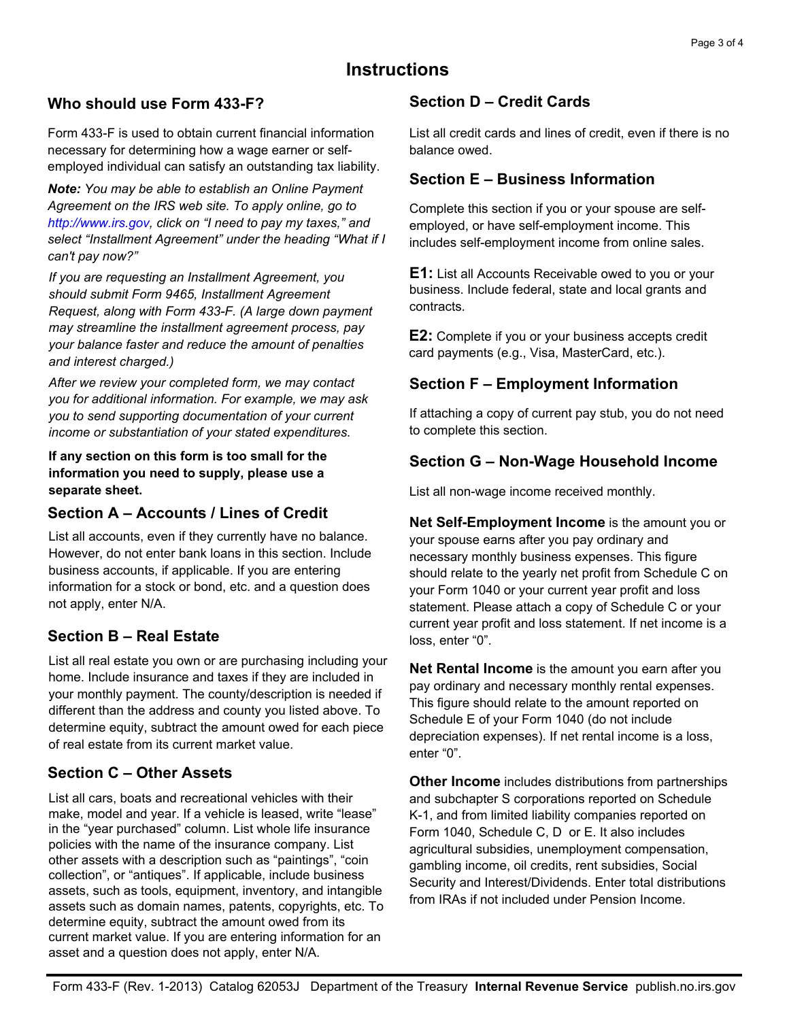# **Instructions**

#### **Who should use Form 433-F?**

Form 433-F is used to obtain current financial information necessary for determining how a wage earner or selfemployed individual can satisfy an outstanding tax liability.

*Note: You may be able to establish an Online Payment Agreement on the IRS web site. To apply online, go to http://www.irs.gov, click on "I need to pay my taxes," and select "Installment Agreement" under the heading "What if I can't pay now?"*

*If you are requesting an Installment Agreement, you should submit Form 9465, Installment Agreement Request, along with Form 433-F. (A large down payment may streamline the installment agreement process, pay your balance faster and reduce the amount of penalties and interest charged.)*

*After we review your completed form, we may contact you for additional information. For example, we may ask you to send supporting documentation of your current income or substantiation of your stated expenditures.* 

**If any section on this form is too small for the information you need to supply, please use a separate sheet.**

#### **Section A – Accounts / Lines of Credit**

List all accounts, even if they currently have no balance. However, do not enter bank loans in this section. Include business accounts, if applicable. If you are entering information for a stock or bond, etc. and a question does not apply, enter N/A.

# **Section B – Real Estate**

List all real estate you own or are purchasing including your home. Include insurance and taxes if they are included in your monthly payment. The county/description is needed if different than the address and county you listed above. To determine equity, subtract the amount owed for each piece of real estate from its current market value.

# **Section C – Other Assets**

List all cars, boats and recreational vehicles with their make, model and year. If a vehicle is leased, write "lease" in the "year purchased" column. List whole life insurance policies with the name of the insurance company. List other assets with a description such as "paintings", "coin collection", or "antiques". If applicable, include business assets, such as tools, equipment, inventory, and intangible assets such as domain names, patents, copyrights, etc. To determine equity, subtract the amount owed from its current market value. If you are entering information for an asset and a question does not apply, enter N/A.

#### **Section D – Credit Cards**

List all credit cards and lines of credit, even if there is no balance owed.

### **Section E – Business Information**

Complete this section if you or your spouse are selfemployed, or have self-employment income. This includes self-employment income from online sales.

**E1:** List all Accounts Receivable owed to you or your business. Include federal, state and local grants and contracts.

**E2:** Complete if you or your business accepts credit card payments (e.g., Visa, MasterCard, etc.).

#### **Section F – Employment Information**

If attaching a copy of current pay stub, you do not need to complete this section.

## **Section G – Non-Wage Household Income**

List all non-wage income received monthly.

**Net Self-Employment Income** is the amount you or your spouse earns after you pay ordinary and necessary monthly business expenses. This figure should relate to the yearly net profit from Schedule C on your Form 1040 or your current year profit and loss statement. Please attach a copy of Schedule C or your current year profit and loss statement. If net income is a loss, enter "0".

**Net Rental Income** is the amount you earn after you pay ordinary and necessary monthly rental expenses. This figure should relate to the amount reported on Schedule E of your Form 1040 (do not include depreciation expenses). If net rental income is a loss, enter "0".

**Other Income** includes distributions from partnerships and subchapter S corporations reported on Schedule K-1, and from limited liability companies reported on Form 1040, Schedule C, D or E. It also includes agricultural subsidies, unemployment compensation, gambling income, oil credits, rent subsidies, Social Security and Interest/Dividends. Enter total distributions from IRAs if not included under Pension Income.